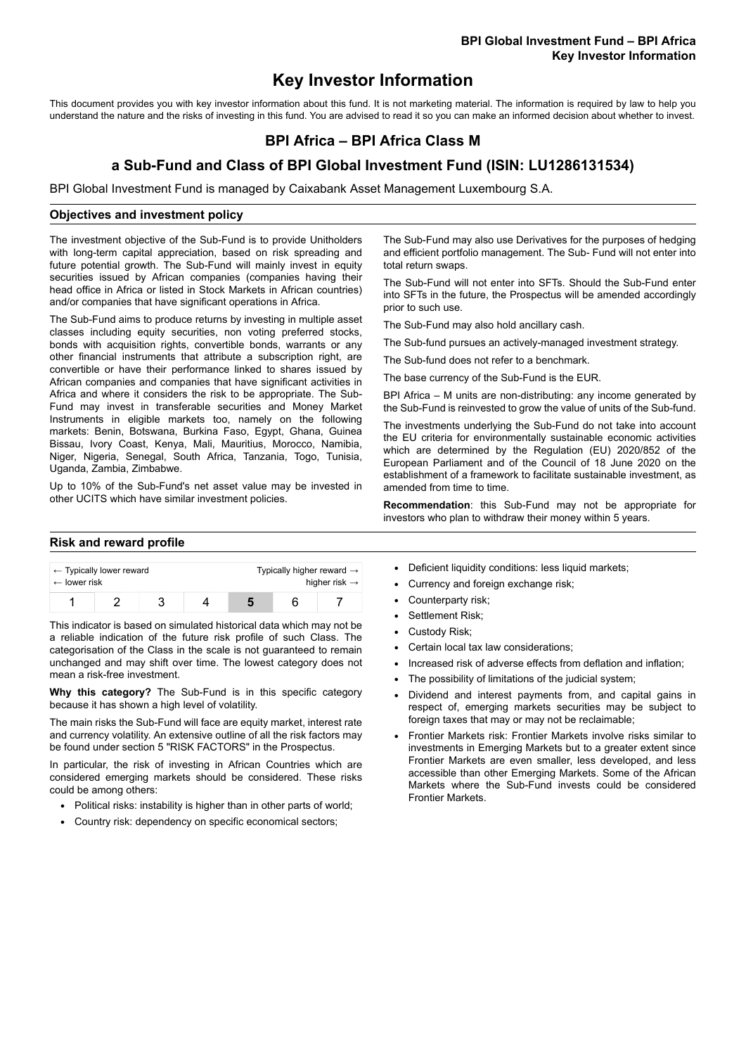# **Key Investor Information**

This document provides you with key investor information about this fund. It is not marketing material. The information is required by law to help you understand the nature and the risks of investing in this fund. You are advised to read it so you can make an informed decision about whether to invest.

# **BPI Africa – BPI Africa Class M**

## **a Sub-Fund and Class of BPI Global Investment Fund (ISIN: LU1286131534)**

BPI Global Investment Fund is managed by Caixabank Asset Management Luxembourg S.A.

#### **Objectives and investment policy**

The investment objective of the Sub-Fund is to provide Unitholders with long-term capital appreciation, based on risk spreading and future potential growth. The Sub-Fund will mainly invest in equity securities issued by African companies (companies having their head office in Africa or listed in Stock Markets in African countries) and/or companies that have significant operations in Africa.

The Sub-Fund aims to produce returns by investing in multiple asset classes including equity securities, non voting preferred stocks, bonds with acquisition rights, convertible bonds, warrants or any other financial instruments that attribute a subscription right, are convertible or have their performance linked to shares issued by African companies and companies that have significant activities in Africa and where it considers the risk to be appropriate. The Sub-Fund may invest in transferable securities and Money Market Instruments in eligible markets too, namely on the following markets: Benin, Botswana, Burkina Faso, Egypt, Ghana, Guinea Bissau, Ivory Coast, Kenya, Mali, Mauritius, Morocco, Namibia, Niger, Nigeria, Senegal, South Africa, Tanzania, Togo, Tunisia, Uganda, Zambia, Zimbabwe.

Up to 10% of the Sub-Fund's net asset value may be invested in other UCITS which have similar investment policies.

#### **Risk and reward profile**

| $\leftarrow$ Typically lower reward |  |  |  | Typically higher reward $\rightarrow$ |  |  |
|-------------------------------------|--|--|--|---------------------------------------|--|--|
| $\leftarrow$ lower risk             |  |  |  | higher risk $\rightarrow$             |  |  |
|                                     |  |  |  |                                       |  |  |

This indicator is based on simulated historical data which may not be a reliable indication of the future risk profile of such Class. The categorisation of the Class in the scale is not guaranteed to remain unchanged and may shift over time. The lowest category does not mean a risk-free investment.

**Why this category?** The Sub-Fund is in this specific category because it has shown a high level of volatility.

The main risks the Sub-Fund will face are equity market, interest rate and currency volatility. An extensive outline of all the risk factors may be found under section 5 "RISK FACTORS" in the Prospectus.

In particular, the risk of investing in African Countries which are considered emerging markets should be considered. These risks could be among others:

- Political risks: instability is higher than in other parts of world:
- Country risk: dependency on specific economical sectors;

The Sub-Fund may also use Derivatives for the purposes of hedging and efficient portfolio management. The Sub- Fund will not enter into total return swaps.

The Sub-Fund will not enter into SFTs. Should the Sub-Fund enter into SFTs in the future, the Prospectus will be amended accordingly prior to such use.

The Sub-Fund may also hold ancillary cash.

The Sub-fund pursues an actively-managed investment strategy.

The Sub-fund does not refer to a benchmark.

The base currency of the Sub-Fund is the EUR.

BPI Africa – M units are non-distributing: any income generated by the Sub-Fund is reinvested to grow the value of units of the Sub-fund.

The investments underlying the Sub-Fund do not take into account the EU criteria for environmentally sustainable economic activities which are determined by the Regulation (EU) 2020/852 of the European Parliament and of the Council of 18 June 2020 on the establishment of a framework to facilitate sustainable investment, as amended from time to time.

**Recommendation**: this Sub-Fund may not be appropriate for investors who plan to withdraw their money within 5 years.

- Deficient liquidity conditions: less liquid markets;
- Currency and foreign exchange risk;
- Counterparty risk;
- Settlement Risk:
- Custody Risk;
- Certain local tax law considerations;
- Increased risk of adverse effects from deflation and inflation;
- The possibility of limitations of the judicial system;
- Dividend and interest payments from, and capital gains in respect of, emerging markets securities may be subject to foreign taxes that may or may not be reclaimable;
- Frontier Markets risk: Frontier Markets involve risks similar to investments in Emerging Markets but to a greater extent since Frontier Markets are even smaller, less developed, and less accessible than other Emerging Markets. Some of the African Markets where the Sub-Fund invests could be considered Frontier Markets.